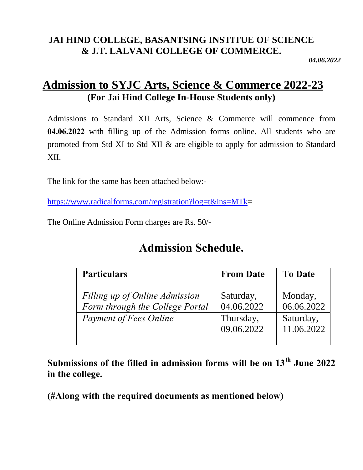### **JAI HIND COLLEGE, BASANTSING INSTITUE OF SCIENCE & J.T. LALVANI COLLEGE OF COMMERCE.**

*04.06.2022*

## **Admission to SYJC Arts, Science & Commerce 2022-23 (For Jai Hind College In-House Students only)**

Admissions to Standard XII Arts, Science & Commerce will commence from **04.06.2022** with filling up of the Admission forms online. All students who are promoted from Std XI to Std XII & are eligible to apply for admission to Standard XII.

The link for the same has been attached below:-

https://www.radicalforms.com/registration?log=t&ins=MTk=

The Online Admission Form charges are Rs. 50/-

# **Admission Schedule.**

| <b>Particulars</b>                                                | <b>From Date</b>        | <b>To Date</b>          |
|-------------------------------------------------------------------|-------------------------|-------------------------|
| Filling up of Online Admission<br>Form through the College Portal | Saturday,<br>04.06.2022 | Monday,<br>06.06.2022   |
| <b>Payment of Fees Online</b>                                     | Thursday,<br>09.06.2022 | Saturday,<br>11.06.2022 |

**Submissions of the filled in admission forms will be on 13th June 2022 in the college.**

**(#Along with the required documents as mentioned below)**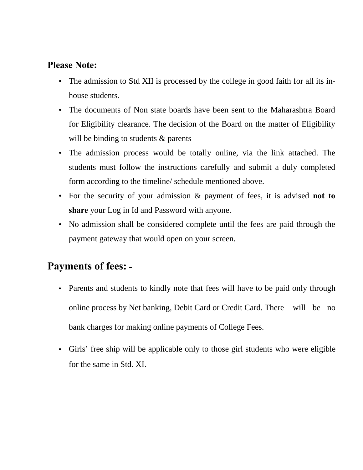#### **Please Note:**

- The admission to Std XII is processed by the college in good faith for all its inhouse students.
- The documents of Non state boards have been sent to the Maharashtra Board for Eligibility clearance. The decision of the Board on the matter of Eligibility will be binding to students & parents
- The admission process would be totally online, via the link attached. The students must follow the instructions carefully and submit a duly completed form according to the timeline/ schedule mentioned above.
- For the security of your admission & payment of fees, it is advised **not to share** your Log in Id and Password with anyone.
- No admission shall be considered complete until the fees are paid through the payment gateway that would open on your screen.

## **Payments of fees: -**

- Parents and students to kindly note that fees will have to be paid only through online process by Net banking, Debit Card or Credit Card. There will be no bank charges for making online payments of College Fees.
- Girls' free ship will be applicable only to those girl students who were eligible for the same in Std. XI.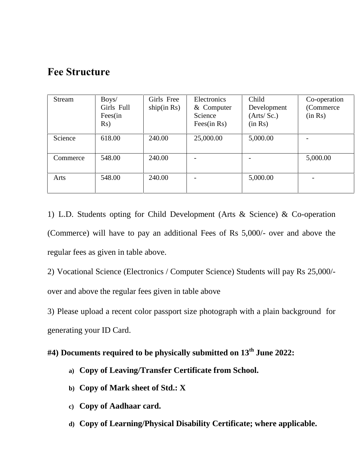### **Fee Structure**

| Stream   | Boys/<br>Girls Full<br>Fees(in<br>Rs) | Girls Free<br>ship(in Rs) | Electronics<br>& Computer<br>Science<br>Fees(in $Rs$ ) | Child<br>Development<br>(Arts/Sc.)<br>(in Rs) | Co-operation<br>(Commerce)<br>(in Rs) |
|----------|---------------------------------------|---------------------------|--------------------------------------------------------|-----------------------------------------------|---------------------------------------|
| Science  | 618.00                                | 240.00                    | 25,000.00                                              | 5,000.00                                      |                                       |
| Commerce | 548.00                                | 240.00                    |                                                        |                                               | 5,000.00                              |
| Arts     | 548.00                                | 240.00                    |                                                        | 5,000.00                                      |                                       |

1) L.D. Students opting for Child Development (Arts & Science) & Co-operation (Commerce) will have to pay an additional Fees of Rs 5,000/- over and above the regular fees as given in table above.

2) Vocational Science (Electronics / Computer Science) Students will pay Rs 25,000/ over and above the regular fees given in table above

3) Please upload a recent color passport size photograph with a plain background for generating your ID Card.

#### **#4) Documents required to be physically submitted on 13th June 2022:**

- **a) Copy of Leaving/Transfer Certificate from School.**
- **b) Copy of Mark sheet of Std.: X**
- **c) Copy of Aadhaar card.**
- **d) Copy of Learning/Physical Disability Certificate; where applicable.**